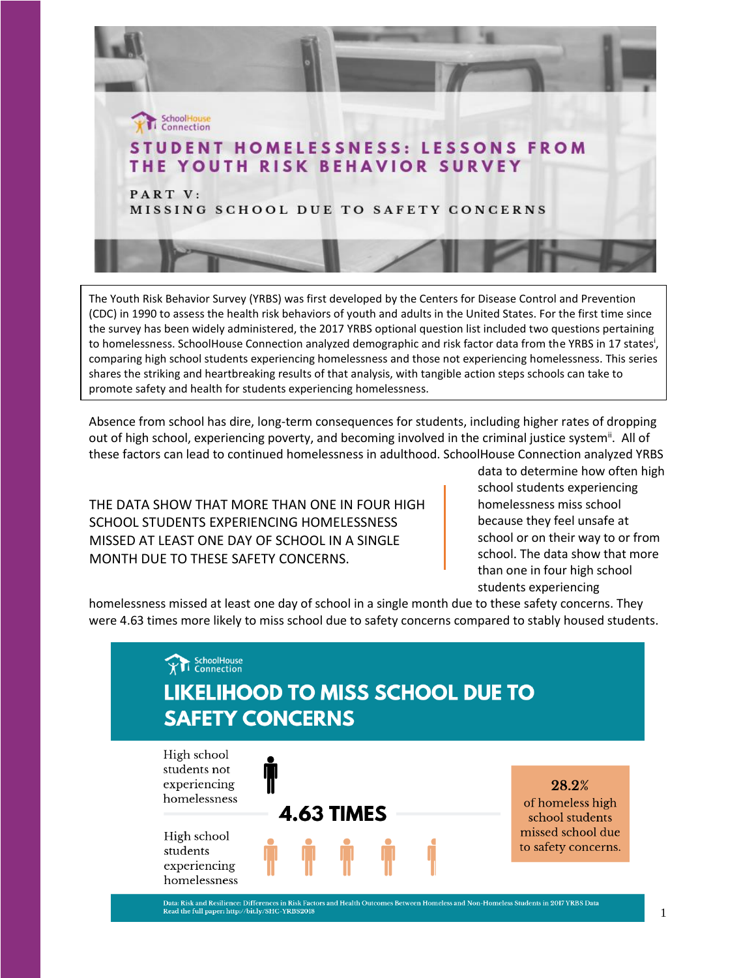

The Youth Risk Behavior Survey (YRBS) was first developed by the Centers for Disease Control and Prevention (CDC) in 1990 to assess the health risk behaviors of youth and adults in the United States. For the first time since the survey has been widely administered, the 2017 YRBS optional question list included two questions pertaining to homelessness. SchoolHouse Connection analyzed demographic and risk factor data from the YRBS in 17 states<sup>i</sup>, comparing high school students experiencing homelessness and those not experiencing homelessness. This series shares the striking and heartbreaking results of that analysis, with tangible action steps schools can take to promote safety and health for students experiencing homelessness.

Absence from school has dire, long-term consequences for students, including higher rates of dropping out of high school, experiencing poverty, and becoming involved in the criminal justice system<sup>ii</sup>. All of these factors can lead to continued homelessness in adulthood. SchoolHouse Connection analyzed YRBS

THE DATA SHOW THAT MORE THAN ONE IN FOUR HIGH SCHOOL STUDENTS EXPERIENCING HOMELESSNESS MISSED AT LEAST ONE DAY OF SCHOOL IN A SINGLE MONTH DUE TO THESE SAFETY CONCERNS.

data to determine how often high school students experiencing homelessness miss school because they feel unsafe at school or on their way to or from school. The data show that more than one in four high school students experiencing

homelessness missed at least one day of school in a single month due to these safety concerns. They were 4.63 times more likely to miss school due to safety concerns compared to stably housed students.



Data: Risk and Resilience: Differences in Risk Factors and Health Outcomes Between Homeless and Non-Homeless Students in 2017 YRBS Data<br>Read the full paper: http://bit.ly/SHC-YRBS2018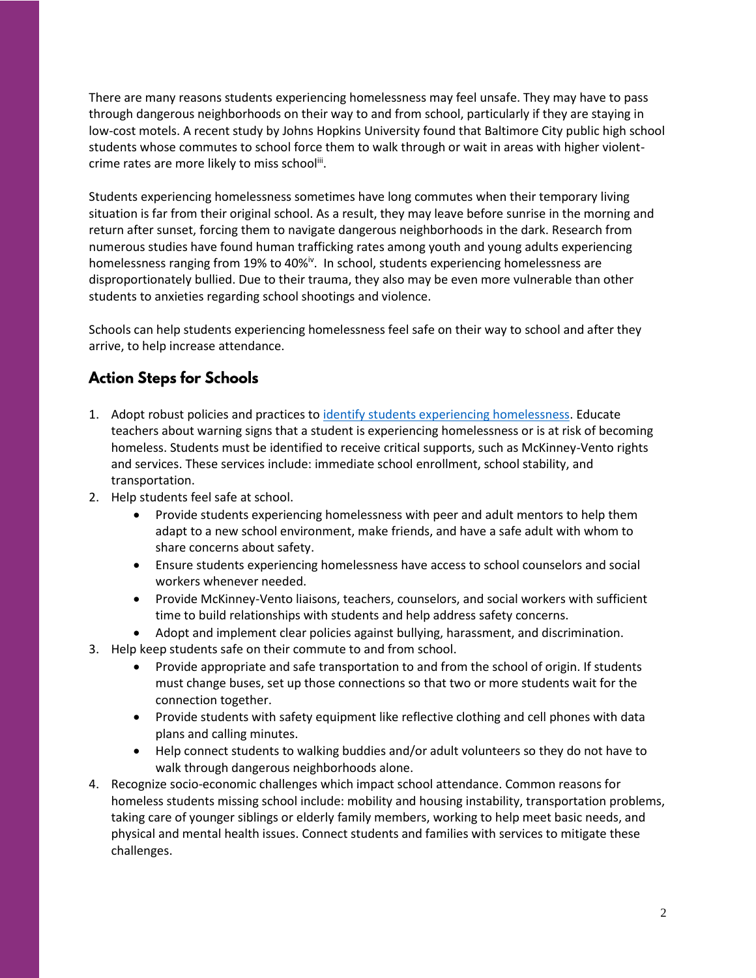There are many reasons students experiencing homelessness may feel unsafe. They may have to pass through dangerous neighborhoods on their way to and from school, particularly if they are staying in low-cost motels. A recent study by Johns Hopkins University found that Baltimore City public high school students whose commutes to school force them to walk through or wait in areas with higher violentcrime rates are more likely to miss school<sup>iii</sup>.

Students experiencing homelessness sometimes have long commutes when their temporary living situation is far from their original school. As a result, they may leave before sunrise in the morning and return after sunset, forcing them to navigate dangerous neighborhoods in the dark. Research from numerous studies have found human trafficking rates among youth and young adults experiencing homelessness ranging from 19% to 40%<sup>iv</sup>. In school, students experiencing homelessness are disproportionately bullied. Due to their trauma, they also may be even more vulnerable than other students to anxieties regarding school shootings and violence.

Schools can help students experiencing homelessness feel safe on their way to school and after they arrive, to help increase attendance.

## **Action Steps for Schools**

- 1. Adopt robust policies and practices t[o identify students experiencing homelessness.](https://www.schoolhouseconnection.org/tools-to-identify-students-experiencing-homelessness/) Educate teachers about warning signs that a student is experiencing homelessness or is at risk of becoming homeless. Students must be identified to receive critical supports, such as McKinney-Vento rights and services. These services include: immediate school enrollment, school stability, and transportation.
- 2. Help students feel safe at school.
	- Provide students experiencing homelessness with peer and adult mentors to help them adapt to a new school environment, make friends, and have a safe adult with whom to share concerns about safety.
	- Ensure students experiencing homelessness have access to school counselors and social workers whenever needed.
	- Provide McKinney-Vento liaisons, teachers, counselors, and social workers with sufficient time to build relationships with students and help address safety concerns.
	- Adopt and implement clear policies against bullying, harassment, and discrimination.
- 3. Help keep students safe on their commute to and from school.
	- Provide appropriate and safe transportation to and from the school of origin. If students must change buses, set up those connections so that two or more students wait for the connection together.
	- Provide students with safety equipment like reflective clothing and cell phones with data plans and calling minutes.
	- Help connect students to walking buddies and/or adult volunteers so they do not have to walk through dangerous neighborhoods alone.
- 4. Recognize socio-economic challenges which impact school attendance. Common reasons for homeless students missing school include: mobility and housing instability, transportation problems, taking care of younger siblings or elderly family members, working to help meet basic needs, and physical and mental health issues. Connect students and families with services to mitigate these challenges.